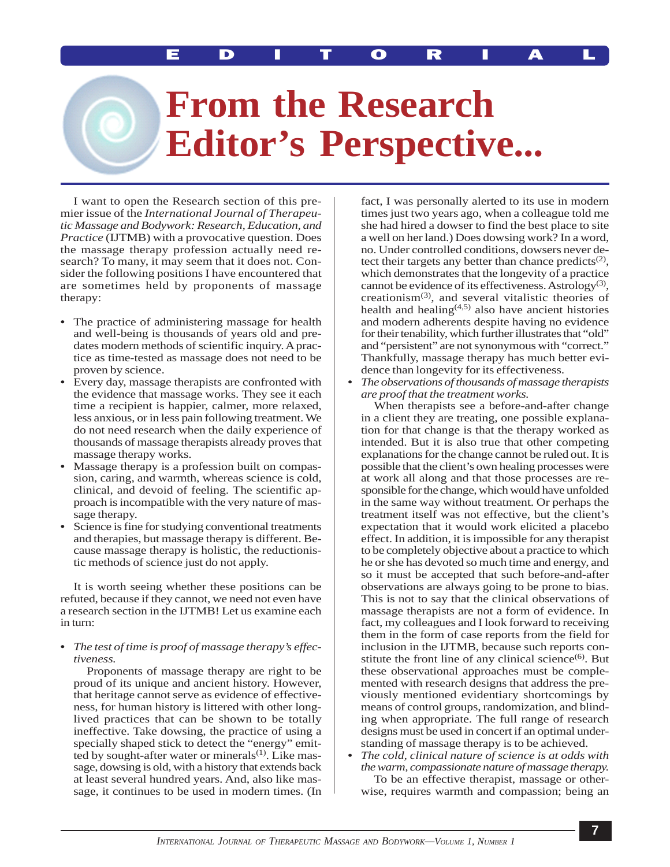MOYER: EDITORIAL EDITORIAL

## **From the Research Editor's Perspective...**

I want to open the Research section of this premier issue of the *International Journal of Therapeutic Massage and Bodywork: Research, Education, and Practice* (IJTMB) with a provocative question. Does the massage therapy profession actually need research? To many, it may seem that it does not. Consider the following positions I have encountered that are sometimes held by proponents of massage therapy:

- **•** The practice of administering massage for health and well-being is thousands of years old and predates modern methods of scientific inquiry. A practice as time-tested as massage does not need to be proven by science.
- **•** Every day, massage therapists are confronted with the evidence that massage works. They see it each time a recipient is happier, calmer, more relaxed, less anxious, or in less pain following treatment. We do not need research when the daily experience of thousands of massage therapists already proves that massage therapy works.
- **•** Massage therapy is a profession built on compassion, caring, and warmth, whereas science is cold, clinical, and devoid of feeling. The scientific approach is incompatible with the very nature of massage therapy.
- **•** Science is fine for studying conventional treatments and therapies, but massage therapy is different. Because massage therapy is holistic, the reductionistic methods of science just do not apply.

It is worth seeing whether these positions can be refuted, because if they cannot, we need not even have a research section in the IJTMB! Let us examine each in turn:

## **•** *The test of time is proof of massage therapy's effectiveness.*

Proponents of massage therapy are right to be proud of its unique and ancient history. However, that heritage cannot serve as evidence of effectiveness, for human history is littered with other longlived practices that can be shown to be totally ineffective. Take dowsing, the practice of using a specially shaped stick to detect the "energy" emitted by sought-after water or minerals $(1)$ . Like massage, dowsing is old, with a history that extends back at least several hundred years. And, also like massage, it continues to be used in modern times. (In

fact, I was personally alerted to its use in modern times just two years ago, when a colleague told me she had hired a dowser to find the best place to site a well on her land.) Does dowsing work? In a word, no. Under controlled conditions, dowsers never detect their targets any better than chance predicts<sup>(2)</sup>, which demonstrates that the longevity of a practice cannot be evidence of its effectiveness. Astrology<sup>(3)</sup>, creationism $(3)$ , and several vitalistic theories of health and healing $(4,5)$  also have ancient histories and modern adherents despite having no evidence for their tenability, which further illustrates that "old" and "persistent" are not synonymous with "correct." Thankfully, massage therapy has much better evidence than longevity for its effectiveness.

**•** *The observations of thousands of massage therapists are proof that the treatment works.*

When therapists see a before-and-after change in a client they are treating, one possible explanation for that change is that the therapy worked as intended. But it is also true that other competing explanations for the change cannot be ruled out. It is possible that the client's own healing processes were at work all along and that those processes are responsible for the change, which would have unfolded in the same way without treatment. Or perhaps the treatment itself was not effective, but the client's expectation that it would work elicited a placebo effect. In addition, it is impossible for any therapist to be completely objective about a practice to which he or she has devoted so much time and energy, and so it must be accepted that such before-and-after observations are always going to be prone to bias. This is not to say that the clinical observations of massage therapists are not a form of evidence. In fact, my colleagues and I look forward to receiving them in the form of case reports from the field for inclusion in the IJTMB, because such reports constitute the front line of any clinical science $(6)$ . But these observational approaches must be complemented with research designs that address the previously mentioned evidentiary shortcomings by means of control groups, randomization, and blinding when appropriate. The full range of research designs must be used in concert if an optimal understanding of massage therapy is to be achieved.

**•** *The cold, clinical nature of science is at odds with the warm, compassionate nature of massage therapy.* To be an effective therapist, massage or other-

wise, requires warmth and compassion; being an